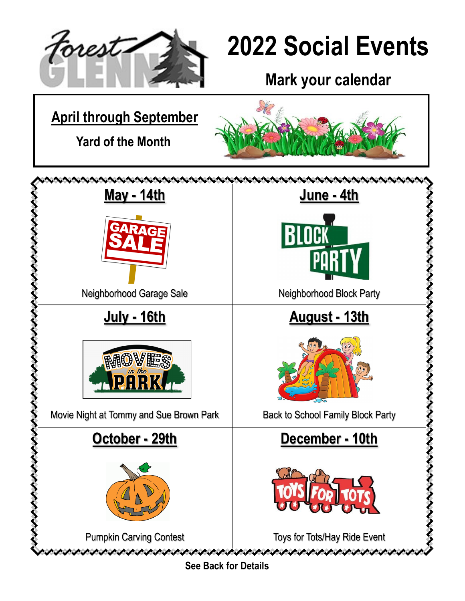

# **2022 Social Events**

**Mark your calendar**